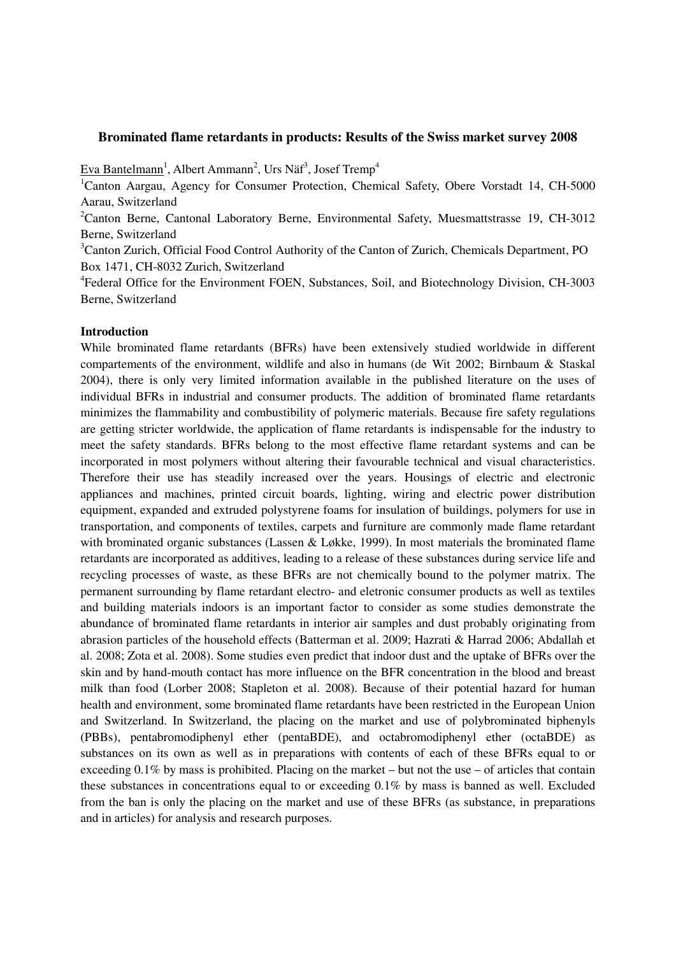## **Brominated flame retardants in products: Results of the Swiss market survey 2008**

Eva Bantelmann<sup>1</sup>, Albert Ammann<sup>2</sup>, Urs Näf<sup>3</sup>, Josef Tremp<sup>4</sup>

<sup>1</sup>Canton Aargau, Agency for Consumer Protection, Chemical Safety, Obere Vorstadt 14, CH-5000 Aarau, Switzerland

<sup>2</sup>Canton Berne, Cantonal Laboratory Berne, Environmental Safety, Muesmattstrasse 19, CH-3012 Berne, Switzerland

<sup>3</sup>Canton Zurich, Official Food Control Authority of the Canton of Zurich, Chemicals Department, PO Box 1471, CH-8032 Zurich, Switzerland

<sup>4</sup>Federal Office for the Environment FOEN, Substances, Soil, and Biotechnology Division, CH-3003 Berne, Switzerland

# **Introduction**

While brominated flame retardants (BFRs) have been extensively studied worldwide in different compartements of the environment, wildlife and also in humans (de Wit 2002; Birnbaum & Staskal 2004), there is only very limited information available in the published literature on the uses of individual BFRs in industrial and consumer products. The addition of brominated flame retardants minimizes the flammability and combustibility of polymeric materials. Because fire safety regulations are getting stricter worldwide, the application of flame retardants is indispensable for the industry to meet the safety standards. BFRs belong to the most effective flame retardant systems and can be incorporated in most polymers without altering their favourable technical and visual characteristics. Therefore their use has steadily increased over the years. Housings of electric and electronic appliances and machines, printed circuit boards, lighting, wiring and electric power distribution equipment, expanded and extruded polystyrene foams for insulation of buildings, polymers for use in transportation, and components of textiles, carpets and furniture are commonly made flame retardant with brominated organic substances (Lassen & Løkke, 1999). In most materials the brominated flame retardants are incorporated as additives, leading to a release of these substances during service life and recycling processes of waste, as these BFRs are not chemically bound to the polymer matrix. The permanent surrounding by flame retardant electro- and eletronic consumer products as well as textiles and building materials indoors is an important factor to consider as some studies demonstrate the abundance of brominated flame retardants in interior air samples and dust probably originating from abrasion particles of the household effects (Batterman et al. 2009; Hazrati & Harrad 2006; Abdallah et al. 2008; Zota et al. 2008). Some studies even predict that indoor dust and the uptake of BFRs over the skin and by hand-mouth contact has more influence on the BFR concentration in the blood and breast milk than food (Lorber 2008; Stapleton et al. 2008). Because of their potential hazard for human health and environment, some brominated flame retardants have been restricted in the European Union and Switzerland. In Switzerland, the placing on the market and use of polybrominated biphenyls (PBBs), pentabromodiphenyl ether (pentaBDE), and octabromodiphenyl ether (octaBDE) as substances on its own as well as in preparations with contents of each of these BFRs equal to or exceeding  $0.1\%$  by mass is prohibited. Placing on the market – but not the use – of articles that contain these substances in concentrations equal to or exceeding 0.1% by mass is banned as well. Excluded from the ban is only the placing on the market and use of these BFRs (as substance, in preparations and in articles) for analysis and research purposes.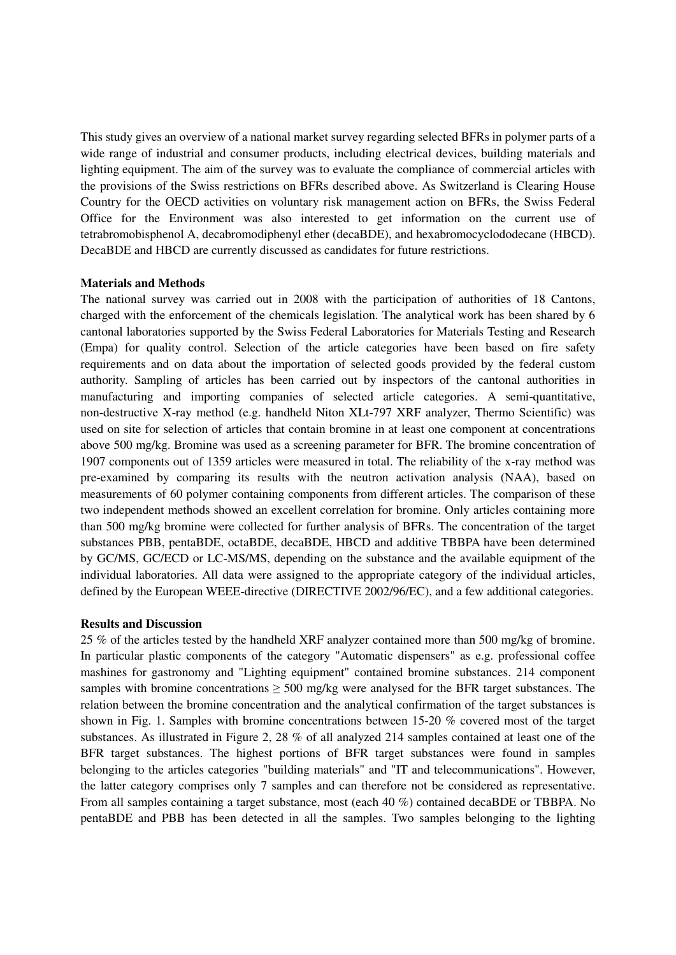This study gives an overview of a national market survey regarding selected BFRs in polymer parts of a wide range of industrial and consumer products, including electrical devices, building materials and lighting equipment. The aim of the survey was to evaluate the compliance of commercial articles with the provisions of the Swiss restrictions on BFRs described above. As Switzerland is Clearing House Country for the OECD activities on voluntary risk management action on BFRs, the Swiss Federal Office for the Environment was also interested to get information on the current use of tetrabromobisphenol A, decabromodiphenyl ether (decaBDE), and hexabromocyclododecane (HBCD). DecaBDE and HBCD are currently discussed as candidates for future restrictions.

### **Materials and Methods**

The national survey was carried out in 2008 with the participation of authorities of 18 Cantons, charged with the enforcement of the chemicals legislation. The analytical work has been shared by 6 cantonal laboratories supported by the Swiss Federal Laboratories for Materials Testing and Research (Empa) for quality control. Selection of the article categories have been based on fire safety requirements and on data about the importation of selected goods provided by the federal custom authority. Sampling of articles has been carried out by inspectors of the cantonal authorities in manufacturing and importing companies of selected article categories. A semi-quantitative, non-destructive X-ray method (e.g. handheld Niton XLt-797 XRF analyzer, Thermo Scientific) was used on site for selection of articles that contain bromine in at least one component at concentrations above 500 mg/kg. Bromine was used as a screening parameter for BFR. The bromine concentration of 1907 components out of 1359 articles were measured in total. The reliability of the x-ray method was pre-examined by comparing its results with the neutron activation analysis (NAA), based on measurements of 60 polymer containing components from different articles. The comparison of these two independent methods showed an excellent correlation for bromine. Only articles containing more than 500 mg/kg bromine were collected for further analysis of BFRs. The concentration of the target substances PBB, pentaBDE, octaBDE, decaBDE, HBCD and additive TBBPA have been determined by GC/MS, GC/ECD or LC-MS/MS, depending on the substance and the available equipment of the individual laboratories. All data were assigned to the appropriate category of the individual articles, defined by the European WEEE-directive (DIRECTIVE 2002/96/EC), and a few additional categories.

### **Results and Discussion**

25 % of the articles tested by the handheld XRF analyzer contained more than 500 mg/kg of bromine. In particular plastic components of the category "Automatic dispensers" as e.g. professional coffee mashines for gastronomy and "Lighting equipment" contained bromine substances. 214 component samples with bromine concentrations  $\geq$  500 mg/kg were analysed for the BFR target substances. The relation between the bromine concentration and the analytical confirmation of the target substances is shown in Fig. 1. Samples with bromine concentrations between 15-20 % covered most of the target substances. As illustrated in Figure 2, 28 % of all analyzed 214 samples contained at least one of the BFR target substances. The highest portions of BFR target substances were found in samples belonging to the articles categories "building materials" and "IT and telecommunications". However, the latter category comprises only 7 samples and can therefore not be considered as representative. From all samples containing a target substance, most (each 40 %) contained decaBDE or TBBPA. No pentaBDE and PBB has been detected in all the samples. Two samples belonging to the lighting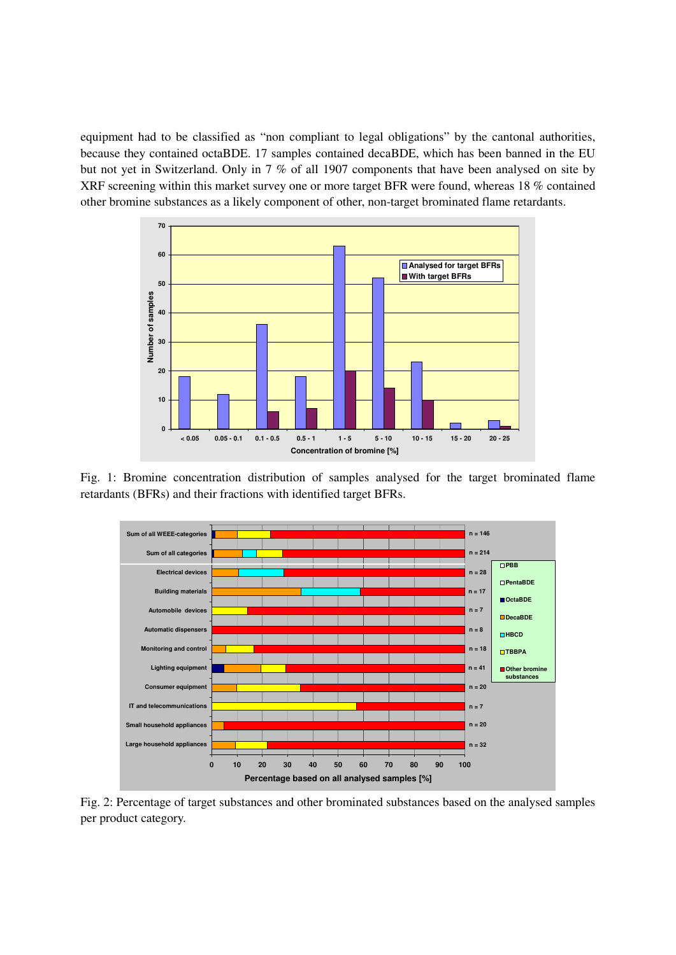equipment had to be classified as "non compliant to legal obligations" by the cantonal authorities, because they contained octaBDE. 17 samples contained decaBDE, which has been banned in the EU but not yet in Switzerland. Only in 7 % of all 1907 components that have been analysed on site by XRF screening within this market survey one or more target BFR were found, whereas 18 % contained other bromine substances as a likely component of other, non-target brominated flame retardants.



Fig. 1: Bromine concentration distribution of samples analysed for the target brominated flame retardants (BFRs) and their fractions with identified target BFRs.



Fig. 2: Percentage of target substances and other brominated substances based on the analysed samples per product category.